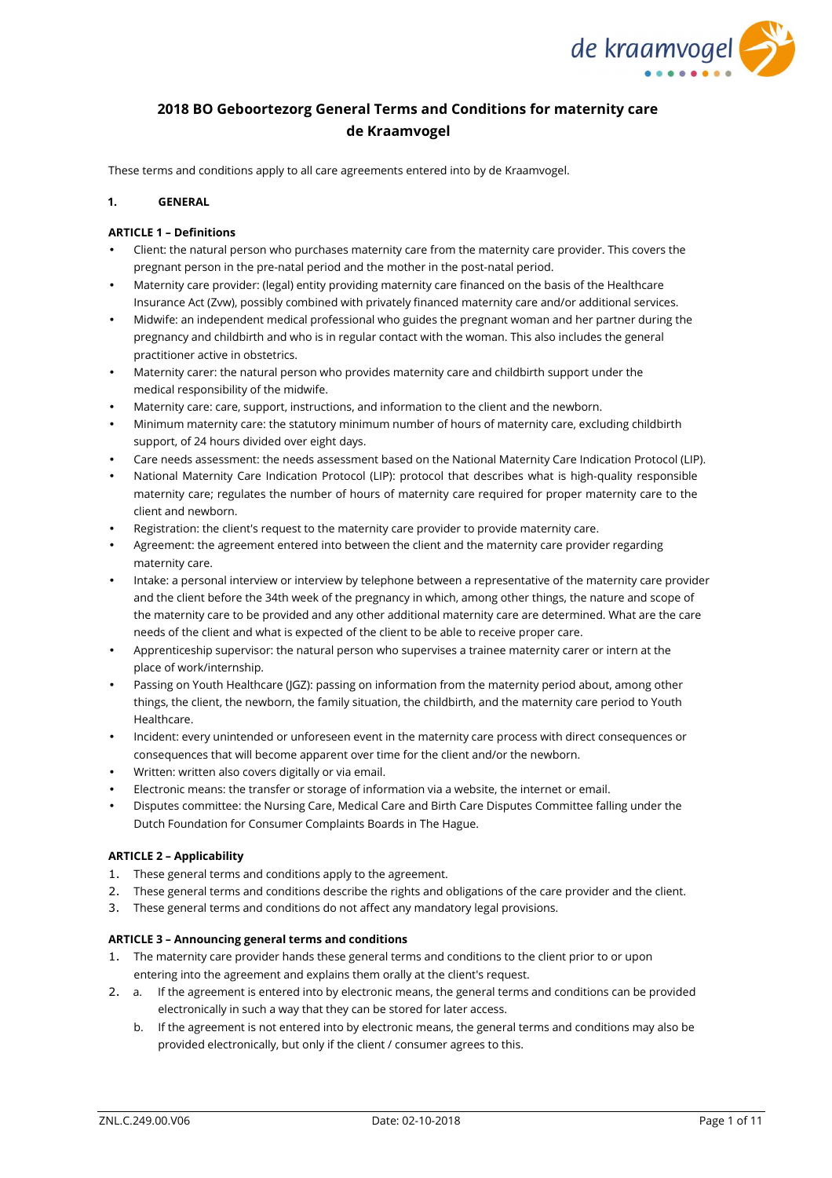

# **2018 BO Geboortezorg General Terms and Conditions for maternity care de Kraamvogel**

These terms and conditions apply to all care agreements entered into by de Kraamvogel.

### **1. GENERAL**

### **ARTICLE 1 – Definitions**

- Client: the natural person who purchases maternity care from the maternity care provider. This covers the pregnant person in the pre-natal period and the mother in the post-natal period.
- Maternity care provider: (legal) entity providing maternity care financed on the basis of the Healthcare Insurance Act (Zvw), possibly combined with privately financed maternity care and/or additional services.
- Midwife: an independent medical professional who guides the pregnant woman and her partner during the pregnancy and childbirth and who is in regular contact with the woman. This also includes the general practitioner active in obstetrics.
- Maternity carer: the natural person who provides maternity care and childbirth support under the medical responsibility of the midwife.
- Maternity care: care, support, instructions, and information to the client and the newborn.
- Minimum maternity care: the statutory minimum number of hours of maternity care, excluding childbirth support, of 24 hours divided over eight days.
- Care needs assessment: the needs assessment based on the National Maternity Care Indication Protocol (LIP).
- National Maternity Care Indication Protocol (LIP): protocol that describes what is high-quality responsible maternity care; regulates the number of hours of maternity care required for proper maternity care to the client and newborn.
- Registration: the client's request to the maternity care provider to provide maternity care.
- Agreement: the agreement entered into between the client and the maternity care provider regarding maternity care.
- Intake: a personal interview or interview by telephone between a representative of the maternity care provider and the client before the 34th week of the pregnancy in which, among other things, the nature and scope of the maternity care to be provided and any other additional maternity care are determined. What are the care needs of the client and what is expected of the client to be able to receive proper care.
- Apprenticeship supervisor: the natural person who supervises a trainee maternity carer or intern at the place of work/internship.
- Passing on Youth Healthcare (JGZ): passing on information from the maternity period about, among other things, the client, the newborn, the family situation, the childbirth, and the maternity care period to Youth Healthcare.
- Incident: every unintended or unforeseen event in the maternity care process with direct consequences or consequences that will become apparent over time for the client and/or the newborn.
- Written: written also covers digitally or via email.
- Electronic means: the transfer or storage of information via a website, the internet or email.
- Disputes committee: the Nursing Care, Medical Care and Birth Care Disputes Committee falling under the Dutch Foundation for Consumer Complaints Boards in The Hague.

## **ARTICLE 2 – Applicability**

- 1. These general terms and conditions apply to the agreement.
- 2. These general terms and conditions describe the rights and obligations of the care provider and the client.
- 3. These general terms and conditions do not affect any mandatory legal provisions.

## **ARTICLE 3 – Announcing general terms and conditions**

- 1. The maternity care provider hands these general terms and conditions to the client prior to or upon entering into the agreement and explains them orally at the client's request.
- 2. a. If the agreement is entered into by electronic means, the general terms and conditions can be provided electronically in such a way that they can be stored for later access.
	- b. If the agreement is not entered into by electronic means, the general terms and conditions may also be provided electronically, but only if the client / consumer agrees to this.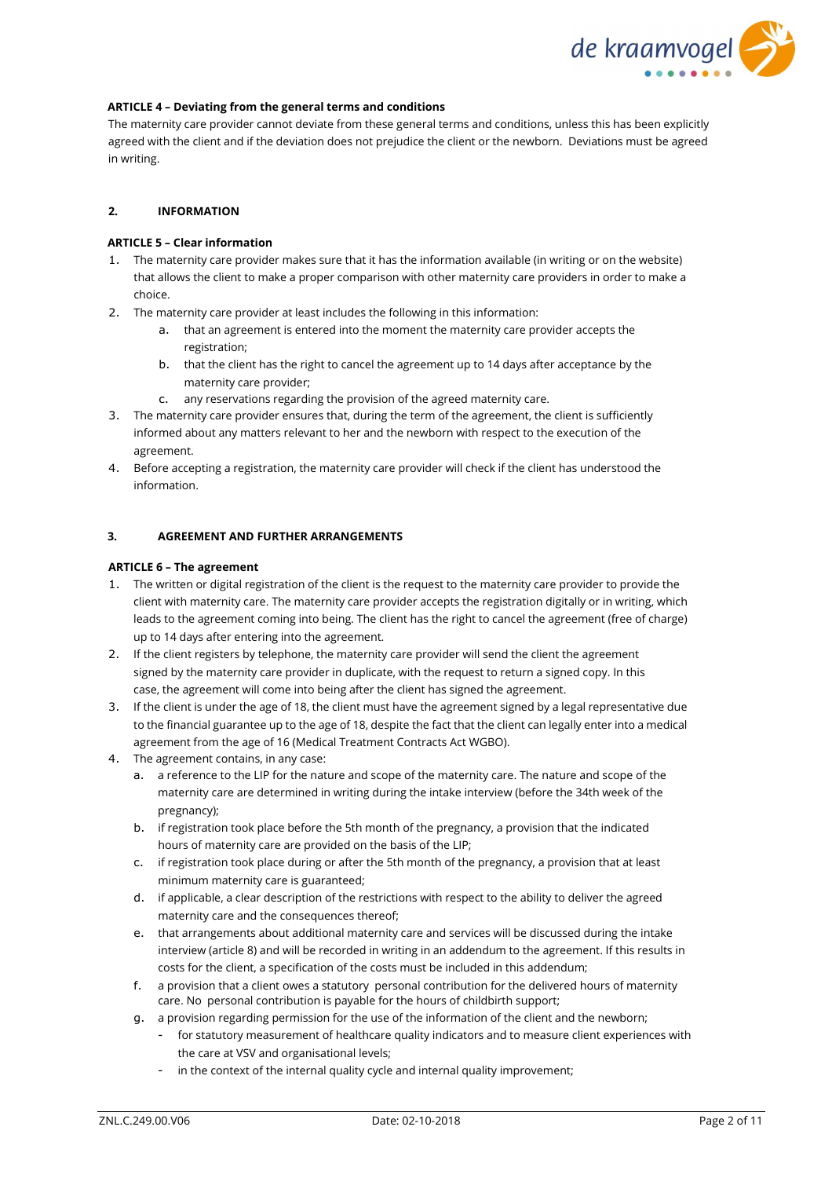

### **ARTICLE 4 – Deviating from the general terms and conditions**

The maternity care provider cannot deviate from these general terms and conditions, unless this has been explicitly agreed with the client and if the deviation does not prejudice the client or the newborn. Deviations must be agreed in writing.

### **2. INFORMATION**

### **ARTICLE 5 – Clear information**

- 1. The maternity care provider makes sure that it has the information available (in writing or on the website) that allows the client to make a proper comparison with other maternity care providers in order to make a choice.
- 2. The maternity care provider at least includes the following in this information:
	- a. that an agreement is entered into the moment the maternity care provider accepts the registration;
	- b. that the client has the right to cancel the agreement up to 14 days after acceptance by the maternity care provider;
	- c. any reservations regarding the provision of the agreed maternity care.
- 3. The maternity care provider ensures that, during the term of the agreement, the client is sufficiently informed about any matters relevant to her and the newborn with respect to the execution of the agreement.
- 4. Before accepting a registration, the maternity care provider will check if the client has understood the information.

### **3. AGREEMENT AND FURTHER ARRANGEMENTS**

#### **ARTICLE 6 – The agreement**

- 1. The written or digital registration of the client is the request to the maternity care provider to provide the client with maternity care. The maternity care provider accepts the registration digitally or in writing, which leads to the agreement coming into being. The client has the right to cancel the agreement (free of charge) up to 14 days after entering into the agreement.
- 2. If the client registers by telephone, the maternity care provider will send the client the agreement signed by the maternity care provider in duplicate, with the request to return a signed copy. In this case, the agreement will come into being after the client has signed the agreement.
- 3. If the client is under the age of 18, the client must have the agreement signed by a legal representative due to the financial guarantee up to the age of 18, despite the fact that the client can legally enter into a medical agreement from the age of 16 (Medical Treatment Contracts Act WGBO).
- 4. The agreement contains, in any case:
	- a. a reference to the LIP for the nature and scope of the maternity care. The nature and scope of the maternity care are determined in writing during the intake interview (before the 34th week of the pregnancy);
	- b. if registration took place before the 5th month of the pregnancy, a provision that the indicated hours of maternity care are provided on the basis of the LIP;
	- c. if registration took place during or after the 5th month of the pregnancy, a provision that at least minimum maternity care is guaranteed;
	- d. if applicable, a clear description of the restrictions with respect to the ability to deliver the agreed maternity care and the consequences thereof;
	- e. that arrangements about additional maternity care and services will be discussed during the intake interview (article 8) and will be recorded in writing in an addendum to the agreement. If this results in costs for the client, a specification of the costs must be included in this addendum;
	- f. a provision that a client owes a statutory personal contribution for the delivered hours of maternity care. No personal contribution is payable for the hours of childbirth support;
	- g. a provision regarding permission for the use of the information of the client and the newborn;
		- for statutory measurement of healthcare quality indicators and to measure client experiences with the care at VSV and organisational levels;
		- in the context of the internal quality cycle and internal quality improvement;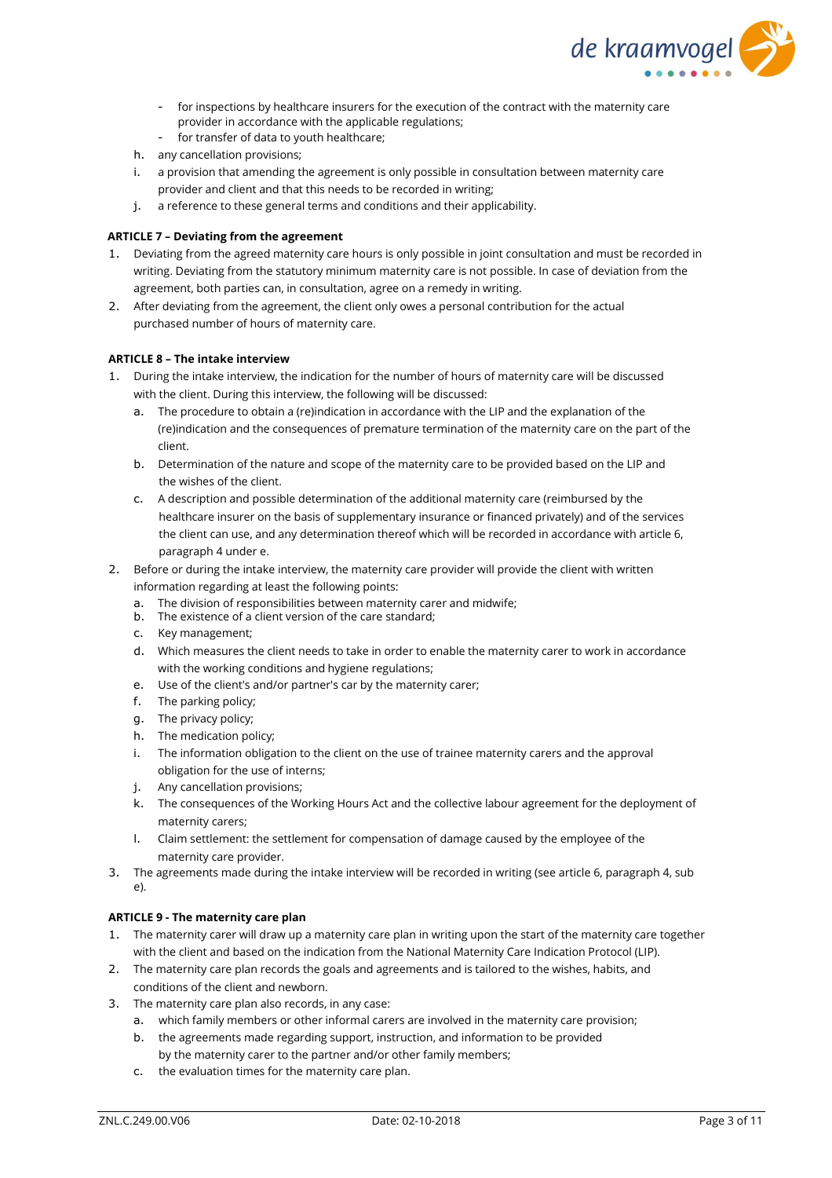

- for inspections by healthcare insurers for the execution of the contract with the maternity care provider in accordance with the applicable regulations;
- for transfer of data to youth healthcare;
- h. any cancellation provisions;
- i. a provision that amending the agreement is only possible in consultation between maternity care provider and client and that this needs to be recorded in writing;
- j. a reference to these general terms and conditions and their applicability.

## **ARTICLE 7 – Deviating from the agreement**

- 1. Deviating from the agreed maternity care hours is only possible in joint consultation and must be recorded in writing. Deviating from the statutory minimum maternity care is not possible. In case of deviation from the agreement, both parties can, in consultation, agree on a remedy in writing.
- 2. After deviating from the agreement, the client only owes a personal contribution for the actual purchased number of hours of maternity care.

## **ARTICLE 8 – The intake interview**

- 1. During the intake interview, the indication for the number of hours of maternity care will be discussed with the client. During this interview, the following will be discussed:
	- a. The procedure to obtain a (re)indication in accordance with the LIP and the explanation of the (re)indication and the consequences of premature termination of the maternity care on the part of the client.
	- b. Determination of the nature and scope of the maternity care to be provided based on the LIP and the wishes of the client.
	- c. A description and possible determination of the additional maternity care (reimbursed by the healthcare insurer on the basis of supplementary insurance or financed privately) and of the services the client can use, and any determination thereof which will be recorded in accordance with article 6, paragraph 4 under e.
- 2. Before or during the intake interview, the maternity care provider will provide the client with written information regarding at least the following points:
	- a. The division of responsibilities between maternity carer and midwife;
	- b. The existence of a client version of the care standard;
	- c. Key management;
	- d. Which measures the client needs to take in order to enable the maternity carer to work in accordance with the working conditions and hygiene regulations;
	- e. Use of the client's and/or partner's car by the maternity carer;
	- f. The parking policy;
	- g. The privacy policy;
	- h. The medication policy;
	- i. The information obligation to the client on the use of trainee maternity carers and the approval obligation for the use of interns;
	- j. Any cancellation provisions;
	- k. The consequences of the Working Hours Act and the collective labour agreement for the deployment of maternity carers;
	- l. Claim settlement: the settlement for compensation of damage caused by the employee of the maternity care provider.
- 3. The agreements made during the intake interview will be recorded in writing (see article 6, paragraph 4, sub e).

## **ARTICLE 9 - The maternity care plan**

- 1. The maternity carer will draw up a maternity care plan in writing upon the start of the maternity care together with the client and based on the indication from the National Maternity Care Indication Protocol (LIP).
- 2. The maternity care plan records the goals and agreements and is tailored to the wishes, habits, and conditions of the client and newborn.
- 3. The maternity care plan also records, in any case:
	- a. which family members or other informal carers are involved in the maternity care provision;
	- b. the agreements made regarding support, instruction, and information to be provided by the maternity carer to the partner and/or other family members;
	- c. the evaluation times for the maternity care plan.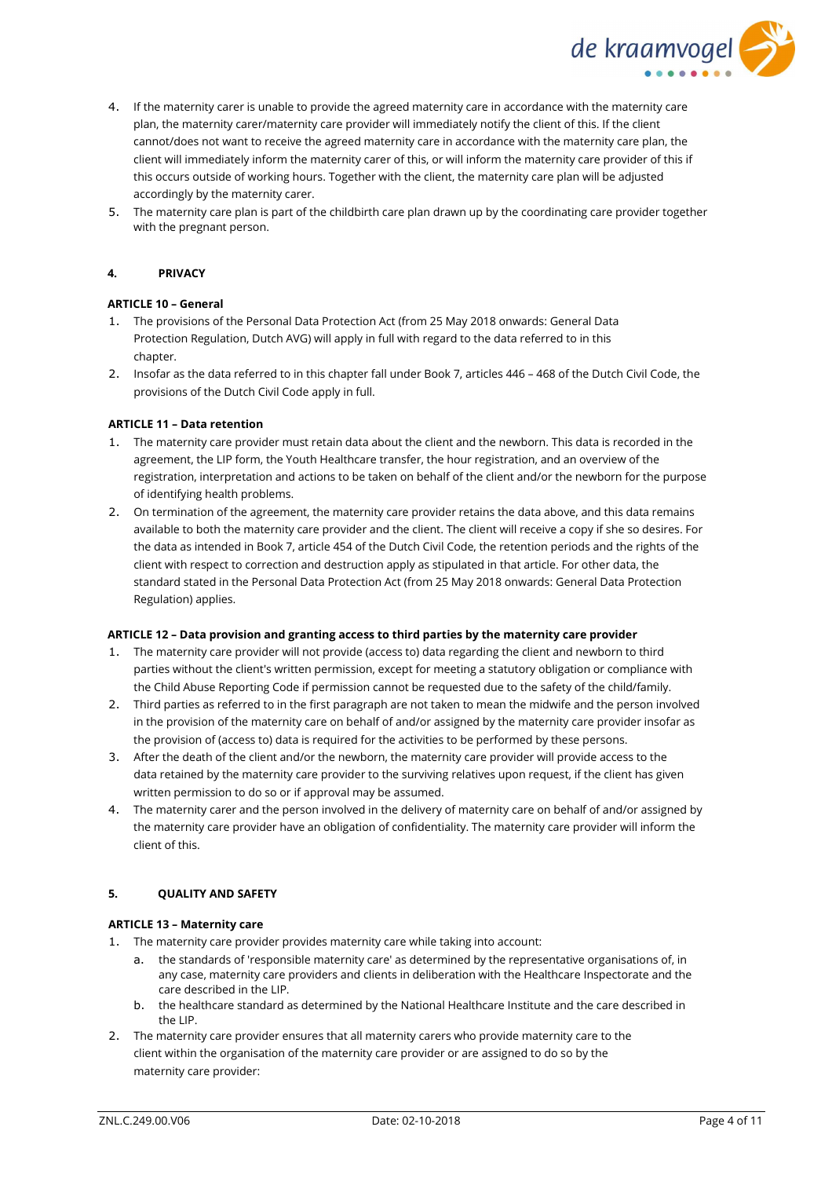

- 4. If the maternity carer is unable to provide the agreed maternity care in accordance with the maternity care plan, the maternity carer/maternity care provider will immediately notify the client of this. If the client cannot/does not want to receive the agreed maternity care in accordance with the maternity care plan, the client will immediately inform the maternity carer of this, or will inform the maternity care provider of this if this occurs outside of working hours. Together with the client, the maternity care plan will be adjusted accordingly by the maternity carer.
- 5. The maternity care plan is part of the childbirth care plan drawn up by the coordinating care provider together with the pregnant person.

### **4. PRIVACY**

#### **ARTICLE 10 – General**

- 1. The provisions of the Personal Data Protection Act (from 25 May 2018 onwards: General Data Protection Regulation, Dutch AVG) will apply in full with regard to the data referred to in this chapter.
- 2. Insofar as the data referred to in this chapter fall under Book 7, articles 446 468 of the Dutch Civil Code, the provisions of the Dutch Civil Code apply in full.

### **ARTICLE 11 – Data retention**

- 1. The maternity care provider must retain data about the client and the newborn. This data is recorded in the agreement, the LIP form, the Youth Healthcare transfer, the hour registration, and an overview of the registration, interpretation and actions to be taken on behalf of the client and/or the newborn for the purpose of identifying health problems.
- 2. On termination of the agreement, the maternity care provider retains the data above, and this data remains available to both the maternity care provider and the client. The client will receive a copy if she so desires. For the data as intended in Book 7, article 454 of the Dutch Civil Code, the retention periods and the rights of the client with respect to correction and destruction apply as stipulated in that article. For other data, the standard stated in the Personal Data Protection Act (from 25 May 2018 onwards: General Data Protection Regulation) applies.

#### **ARTICLE 12 – Data provision and granting access to third parties by the maternity care provider**

- 1. The maternity care provider will not provide (access to) data regarding the client and newborn to third parties without the client's written permission, except for meeting a statutory obligation or compliance with the Child Abuse Reporting Code if permission cannot be requested due to the safety of the child/family.
- 2. Third parties as referred to in the first paragraph are not taken to mean the midwife and the person involved in the provision of the maternity care on behalf of and/or assigned by the maternity care provider insofar as the provision of (access to) data is required for the activities to be performed by these persons.
- 3. After the death of the client and/or the newborn, the maternity care provider will provide access to the data retained by the maternity care provider to the surviving relatives upon request, if the client has given written permission to do so or if approval may be assumed.
- 4. The maternity carer and the person involved in the delivery of maternity care on behalf of and/or assigned by the maternity care provider have an obligation of confidentiality. The maternity care provider will inform the client of this.

#### **5. QUALITY AND SAFETY**

#### **ARTICLE 13 – Maternity care**

- 1. The maternity care provider provides maternity care while taking into account:
	- a. the standards of 'responsible maternity care' as determined by the representative organisations of, in any case, maternity care providers and clients in deliberation with the Healthcare Inspectorate and the care described in the LIP.
	- b. the healthcare standard as determined by the National Healthcare Institute and the care described in the LIP.
- 2. The maternity care provider ensures that all maternity carers who provide maternity care to the client within the organisation of the maternity care provider or are assigned to do so by the maternity care provider: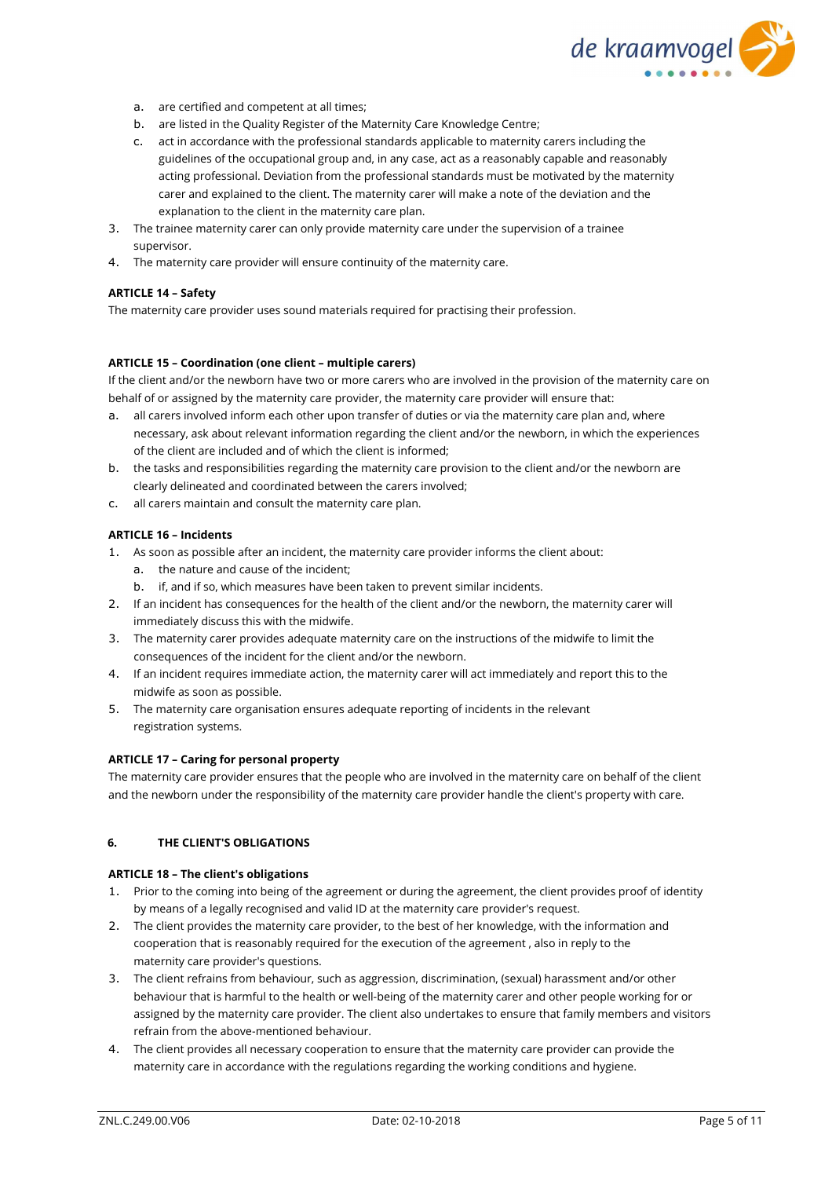

- a. are certified and competent at all times;
- b. are listed in the Quality Register of the Maternity Care Knowledge Centre;
- c. act in accordance with the professional standards applicable to maternity carers including the guidelines of the occupational group and, in any case, act as a reasonably capable and reasonably acting professional. Deviation from the professional standards must be motivated by the maternity carer and explained to the client. The maternity carer will make a note of the deviation and the explanation to the client in the maternity care plan.
- 3. The trainee maternity carer can only provide maternity care under the supervision of a trainee supervisor.
- 4. The maternity care provider will ensure continuity of the maternity care.

#### **ARTICLE 14 – Safety**

The maternity care provider uses sound materials required for practising their profession.

### **ARTICLE 15 – Coordination (one client – multiple carers)**

If the client and/or the newborn have two or more carers who are involved in the provision of the maternity care on behalf of or assigned by the maternity care provider, the maternity care provider will ensure that:

- a. all carers involved inform each other upon transfer of duties or via the maternity care plan and, where necessary, ask about relevant information regarding the client and/or the newborn, in which the experiences of the client are included and of which the client is informed;
- b. the tasks and responsibilities regarding the maternity care provision to the client and/or the newborn are clearly delineated and coordinated between the carers involved;
- c. all carers maintain and consult the maternity care plan.

### **ARTICLE 16 – Incidents**

- 1. As soon as possible after an incident, the maternity care provider informs the client about:
	- a. the nature and cause of the incident;
	- b. if, and if so, which measures have been taken to prevent similar incidents.
- 2. If an incident has consequences for the health of the client and/or the newborn, the maternity carer will immediately discuss this with the midwife.
- 3. The maternity carer provides adequate maternity care on the instructions of the midwife to limit the consequences of the incident for the client and/or the newborn.
- 4. If an incident requires immediate action, the maternity carer will act immediately and report this to the midwife as soon as possible.
- 5. The maternity care organisation ensures adequate reporting of incidents in the relevant registration systems.

### **ARTICLE 17 – Caring for personal property**

The maternity care provider ensures that the people who are involved in the maternity care on behalf of the client and the newborn under the responsibility of the maternity care provider handle the client's property with care.

## **6. THE CLIENT'S OBLIGATIONS**

#### **ARTICLE 18 – The client's obligations**

- 1. Prior to the coming into being of the agreement or during the agreement, the client provides proof of identity by means of a legally recognised and valid ID at the maternity care provider's request.
- 2. The client provides the maternity care provider, to the best of her knowledge, with the information and cooperation that is reasonably required for the execution of the agreement , also in reply to the maternity care provider's questions.
- 3. The client refrains from behaviour, such as aggression, discrimination, (sexual) harassment and/or other behaviour that is harmful to the health or well-being of the maternity carer and other people working for or assigned by the maternity care provider. The client also undertakes to ensure that family members and visitors refrain from the above-mentioned behaviour.
- 4. The client provides all necessary cooperation to ensure that the maternity care provider can provide the maternity care in accordance with the regulations regarding the working conditions and hygiene.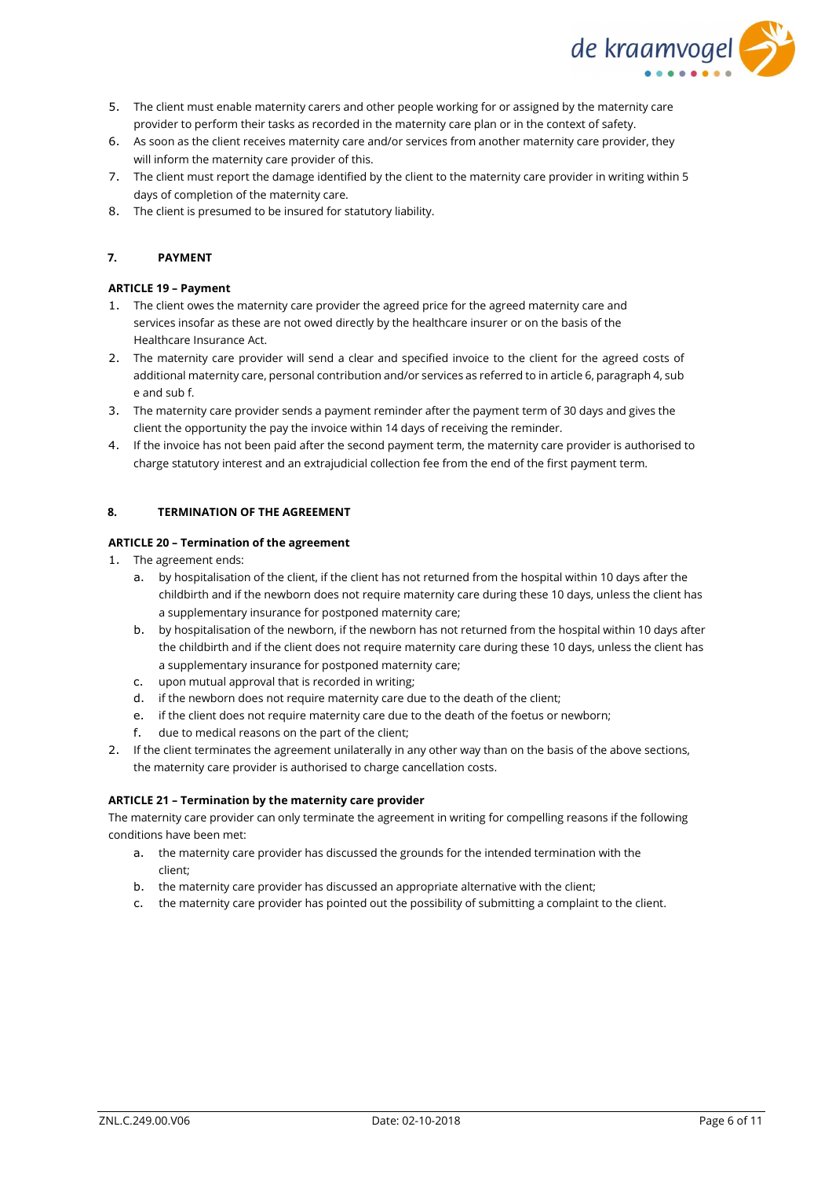

- 5. The client must enable maternity carers and other people working for or assigned by the maternity care provider to perform their tasks as recorded in the maternity care plan or in the context of safety.
- 6. As soon as the client receives maternity care and/or services from another maternity care provider, they will inform the maternity care provider of this.
- 7. The client must report the damage identified by the client to the maternity care provider in writing within 5 days of completion of the maternity care.
- 8. The client is presumed to be insured for statutory liability.

## **7. PAYMENT**

### **ARTICLE 19 – Payment**

- 1. The client owes the maternity care provider the agreed price for the agreed maternity care and services insofar as these are not owed directly by the healthcare insurer or on the basis of the Healthcare Insurance Act.
- 2. The maternity care provider will send a clear and specified invoice to the client for the agreed costs of additional maternity care, personal contribution and/or services as referred to in article 6, paragraph 4, sub e and sub f.
- 3. The maternity care provider sends a payment reminder after the payment term of 30 days and gives the client the opportunity the pay the invoice within 14 days of receiving the reminder.
- 4. If the invoice has not been paid after the second payment term, the maternity care provider is authorised to charge statutory interest and an extrajudicial collection fee from the end of the first payment term.

### **8. TERMINATION OF THE AGREEMENT**

### **ARTICLE 20 – Termination of the agreement**

- 1. The agreement ends:
	- a. by hospitalisation of the client, if the client has not returned from the hospital within 10 days after the childbirth and if the newborn does not require maternity care during these 10 days, unless the client has a supplementary insurance for postponed maternity care;
	- b. by hospitalisation of the newborn, if the newborn has not returned from the hospital within 10 days after the childbirth and if the client does not require maternity care during these 10 days, unless the client has a supplementary insurance for postponed maternity care;
	- c. upon mutual approval that is recorded in writing;
	- d. if the newborn does not require maternity care due to the death of the client;
	- e. if the client does not require maternity care due to the death of the foetus or newborn;
	- f. due to medical reasons on the part of the client;
- 2. If the client terminates the agreement unilaterally in any other way than on the basis of the above sections, the maternity care provider is authorised to charge cancellation costs.

#### **ARTICLE 21 – Termination by the maternity care provider**

The maternity care provider can only terminate the agreement in writing for compelling reasons if the following conditions have been met:

- a. the maternity care provider has discussed the grounds for the intended termination with the client;
- b. the maternity care provider has discussed an appropriate alternative with the client;
- c. the maternity care provider has pointed out the possibility of submitting a complaint to the client.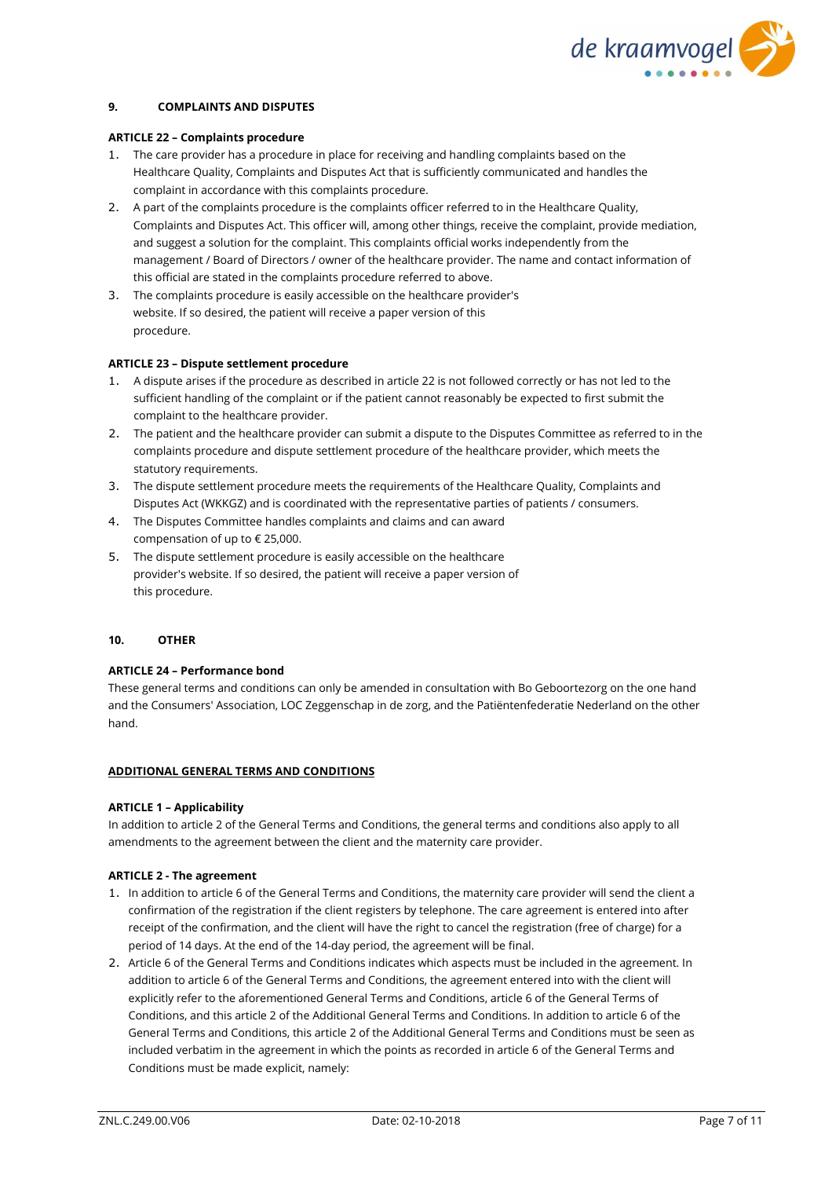

### **9. COMPLAINTS AND DISPUTES**

#### **ARTICLE 22 – Complaints procedure**

- 1. The care provider has a procedure in place for receiving and handling complaints based on the Healthcare Quality, Complaints and Disputes Act that is sufficiently communicated and handles the complaint in accordance with this complaints procedure.
- 2. A part of the complaints procedure is the complaints officer referred to in the Healthcare Quality, Complaints and Disputes Act. This officer will, among other things, receive the complaint, provide mediation, and suggest a solution for the complaint. This complaints official works independently from the management / Board of Directors / owner of the healthcare provider. The name and contact information of this official are stated in the complaints procedure referred to above.
- 3. The complaints procedure is easily accessible on the healthcare provider's website. If so desired, the patient will receive a paper version of this procedure.

#### **ARTICLE 23 – Dispute settlement procedure**

- 1. A dispute arises if the procedure as described in article 22 is not followed correctly or has not led to the sufficient handling of the complaint or if the patient cannot reasonably be expected to first submit the complaint to the healthcare provider.
- 2. The patient and the healthcare provider can submit a dispute to the Disputes Committee as referred to in the complaints procedure and dispute settlement procedure of the healthcare provider, which meets the statutory requirements.
- 3. The dispute settlement procedure meets the requirements of the Healthcare Quality, Complaints and Disputes Act (WKKGZ) and is coordinated with the representative parties of patients / consumers.
- 4. The Disputes Committee handles complaints and claims and can award compensation of up to € 25,000.
- 5. The dispute settlement procedure is easily accessible on the healthcare provider's website. If so desired, the patient will receive a paper version of this procedure.

#### **10. OTHER**

#### **ARTICLE 24 – Performance bond**

These general terms and conditions can only be amended in consultation with Bo Geboortezorg on the one hand and the Consumers' Association, LOC Zeggenschap in de zorg, and the Patiëntenfederatie Nederland on the other hand.

#### **ADDITIONAL GENERAL TERMS AND CONDITIONS**

#### **ARTICLE 1 – Applicability**

In addition to article 2 of the General Terms and Conditions, the general terms and conditions also apply to all amendments to the agreement between the client and the maternity care provider.

#### **ARTICLE 2 - The agreement**

- 1. In addition to article 6 of the General Terms and Conditions, the maternity care provider will send the client a confirmation of the registration if the client registers by telephone. The care agreement is entered into after receipt of the confirmation, and the client will have the right to cancel the registration (free of charge) for a period of 14 days. At the end of the 14-day period, the agreement will be final.
- 2. Article 6 of the General Terms and Conditions indicates which aspects must be included in the agreement. In addition to article 6 of the General Terms and Conditions, the agreement entered into with the client will explicitly refer to the aforementioned General Terms and Conditions, article 6 of the General Terms of Conditions, and this article 2 of the Additional General Terms and Conditions. In addition to article 6 of the General Terms and Conditions, this article 2 of the Additional General Terms and Conditions must be seen as included verbatim in the agreement in which the points as recorded in article 6 of the General Terms and Conditions must be made explicit, namely: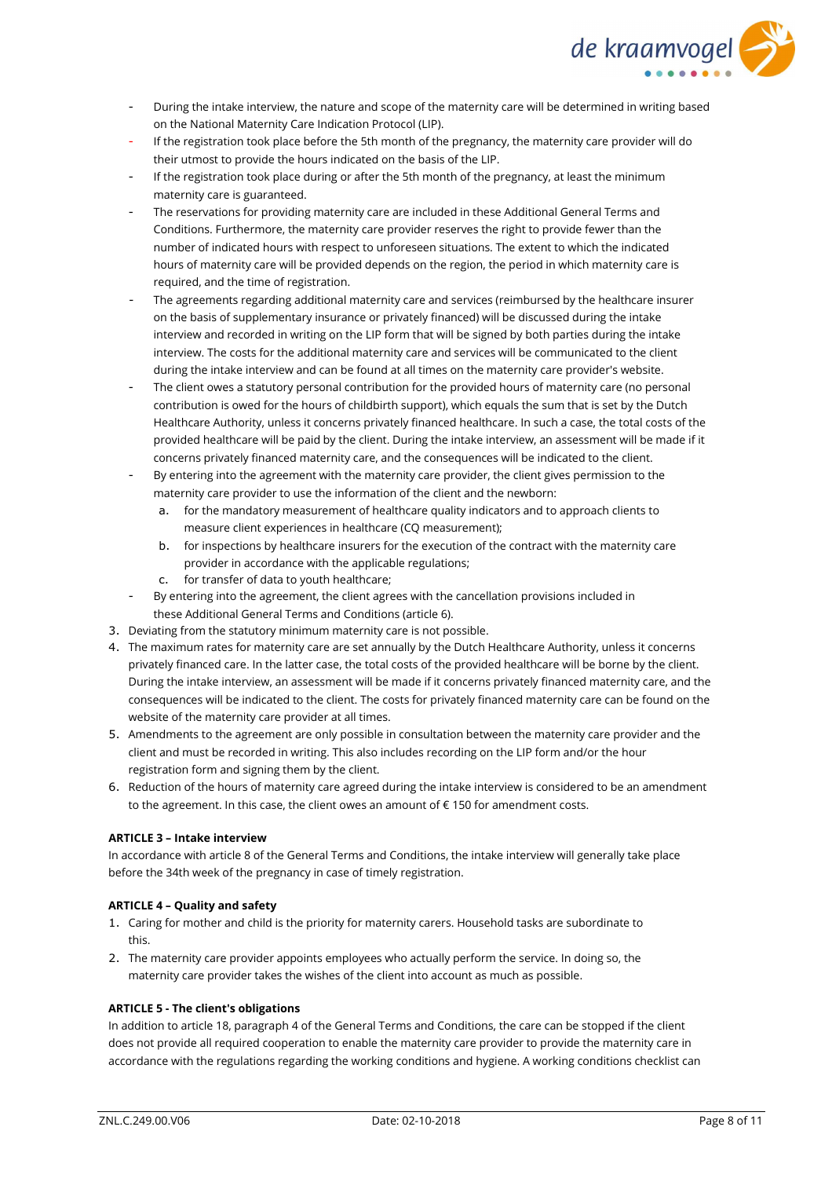

- During the intake interview, the nature and scope of the maternity care will be determined in writing based on the National Maternity Care Indication Protocol (LIP).
- If the registration took place before the 5th month of the pregnancy, the maternity care provider will do their utmost to provide the hours indicated on the basis of the LIP.
- If the registration took place during or after the 5th month of the pregnancy, at least the minimum maternity care is guaranteed.
- The reservations for providing maternity care are included in these Additional General Terms and Conditions. Furthermore, the maternity care provider reserves the right to provide fewer than the number of indicated hours with respect to unforeseen situations. The extent to which the indicated hours of maternity care will be provided depends on the region, the period in which maternity care is required, and the time of registration.
- The agreements regarding additional maternity care and services (reimbursed by the healthcare insurer on the basis of supplementary insurance or privately financed) will be discussed during the intake interview and recorded in writing on the LIP form that will be signed by both parties during the intake interview. The costs for the additional maternity care and services will be communicated to the client during the intake interview and can be found at all times on the maternity care provider's website.
- The client owes a statutory personal contribution for the provided hours of maternity care (no personal contribution is owed for the hours of childbirth support), which equals the sum that is set by the Dutch Healthcare Authority, unless it concerns privately financed healthcare. In such a case, the total costs of the provided healthcare will be paid by the client. During the intake interview, an assessment will be made if it concerns privately financed maternity care, and the consequences will be indicated to the client.
- By entering into the agreement with the maternity care provider, the client gives permission to the maternity care provider to use the information of the client and the newborn:
	- a. for the mandatory measurement of healthcare quality indicators and to approach clients to measure client experiences in healthcare (CQ measurement);
	- b. for inspections by healthcare insurers for the execution of the contract with the maternity care provider in accordance with the applicable regulations;
	- c. for transfer of data to youth healthcare;
- By entering into the agreement, the client agrees with the cancellation provisions included in these Additional General Terms and Conditions (article 6).
- 3. Deviating from the statutory minimum maternity care is not possible.
- 4. The maximum rates for maternity care are set annually by the Dutch Healthcare Authority, unless it concerns privately financed care. In the latter case, the total costs of the provided healthcare will be borne by the client. During the intake interview, an assessment will be made if it concerns privately financed maternity care, and the consequences will be indicated to the client. The costs for privately financed maternity care can be found on the website of the maternity care provider at all times.
- 5. Amendments to the agreement are only possible in consultation between the maternity care provider and the client and must be recorded in writing. This also includes recording on the LIP form and/or the hour registration form and signing them by the client.
- 6. Reduction of the hours of maternity care agreed during the intake interview is considered to be an amendment to the agreement. In this case, the client owes an amount of € 150 for amendment costs.

## **ARTICLE 3 – Intake interview**

In accordance with article 8 of the General Terms and Conditions, the intake interview will generally take place before the 34th week of the pregnancy in case of timely registration.

## **ARTICLE 4 – Quality and safety**

- 1. Caring for mother and child is the priority for maternity carers. Household tasks are subordinate to this.
- 2. The maternity care provider appoints employees who actually perform the service. In doing so, the maternity care provider takes the wishes of the client into account as much as possible.

## **ARTICLE 5 - The client's obligations**

In addition to article 18, paragraph 4 of the General Terms and Conditions, the care can be stopped if the client does not provide all required cooperation to enable the maternity care provider to provide the maternity care in accordance with the regulations regarding the working conditions and hygiene. A working conditions checklist can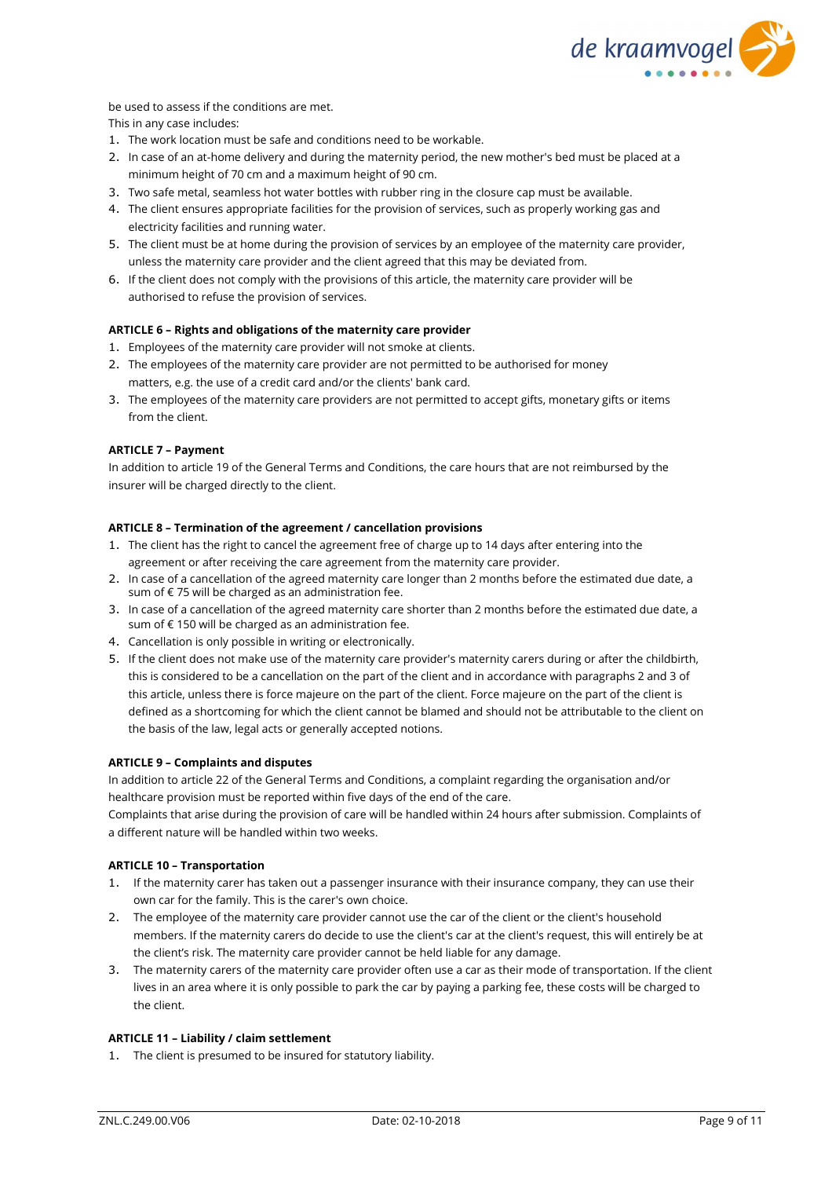

be used to assess if the conditions are met.

This in any case includes:

- 1. The work location must be safe and conditions need to be workable.
- 2. In case of an at-home delivery and during the maternity period, the new mother's bed must be placed at a minimum height of 70 cm and a maximum height of 90 cm.
- 3. Two safe metal, seamless hot water bottles with rubber ring in the closure cap must be available.
- 4. The client ensures appropriate facilities for the provision of services, such as properly working gas and electricity facilities and running water.
- 5. The client must be at home during the provision of services by an employee of the maternity care provider, unless the maternity care provider and the client agreed that this may be deviated from.
- 6. If the client does not comply with the provisions of this article, the maternity care provider will be authorised to refuse the provision of services.

## **ARTICLE 6 – Rights and obligations of the maternity care provider**

- 1. Employees of the maternity care provider will not smoke at clients.
- 2. The employees of the maternity care provider are not permitted to be authorised for money matters, e.g. the use of a credit card and/or the clients' bank card.
- 3. The employees of the maternity care providers are not permitted to accept gifts, monetary gifts or items from the client.

#### **ARTICLE 7 – Payment**

In addition to article 19 of the General Terms and Conditions, the care hours that are not reimbursed by the insurer will be charged directly to the client.

### **ARTICLE 8 – Termination of the agreement / cancellation provisions**

- 1. The client has the right to cancel the agreement free of charge up to 14 days after entering into the agreement or after receiving the care agreement from the maternity care provider.
- 2. In case of a cancellation of the agreed maternity care longer than 2 months before the estimated due date, a sum of €75 will be charged as an administration fee.
- 3. In case of a cancellation of the agreed maternity care shorter than 2 months before the estimated due date, a sum of € 150 will be charged as an administration fee.
- 4. Cancellation is only possible in writing or electronically.
- 5. If the client does not make use of the maternity care provider's maternity carers during or after the childbirth, this is considered to be a cancellation on the part of the client and in accordance with paragraphs 2 and 3 of this article, unless there is force majeure on the part of the client. Force majeure on the part of the client is defined as a shortcoming for which the client cannot be blamed and should not be attributable to the client on the basis of the law, legal acts or generally accepted notions.

#### **ARTICLE 9 – Complaints and disputes**

In addition to article 22 of the General Terms and Conditions, a complaint regarding the organisation and/or healthcare provision must be reported within five days of the end of the care.

Complaints that arise during the provision of care will be handled within 24 hours after submission. Complaints of a different nature will be handled within two weeks.

### **ARTICLE 10 – Transportation**

- 1. If the maternity carer has taken out a passenger insurance with their insurance company, they can use their own car for the family. This is the carer's own choice.
- 2. The employee of the maternity care provider cannot use the car of the client or the client's household members. If the maternity carers do decide to use the client's car at the client's request, this will entirely be at the client's risk. The maternity care provider cannot be held liable for any damage.
- 3. The maternity carers of the maternity care provider often use a car as their mode of transportation. If the client lives in an area where it is only possible to park the car by paying a parking fee, these costs will be charged to the client.

## **ARTICLE 11 – Liability / claim settlement**

1. The client is presumed to be insured for statutory liability.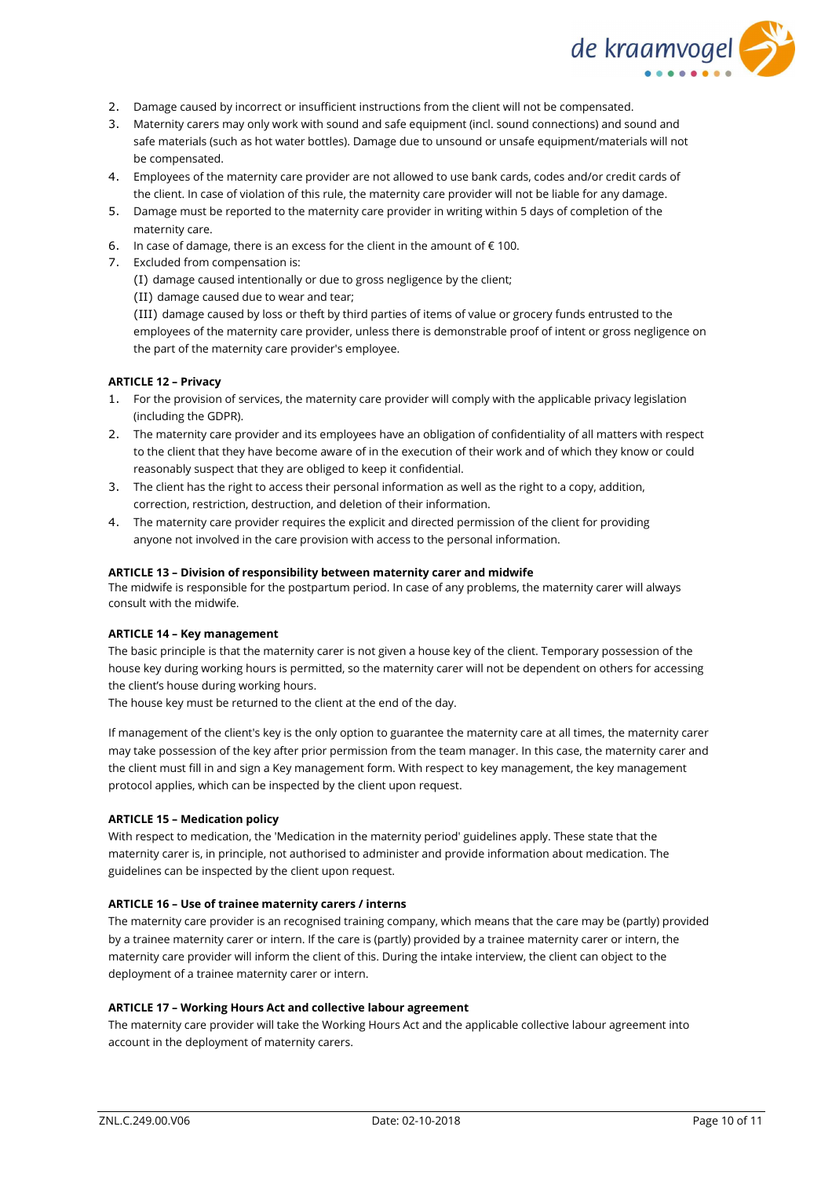

- 2. Damage caused by incorrect or insufficient instructions from the client will not be compensated.
- 3. Maternity carers may only work with sound and safe equipment (incl. sound connections) and sound and safe materials (such as hot water bottles). Damage due to unsound or unsafe equipment/materials will not be compensated.
- 4. Employees of the maternity care provider are not allowed to use bank cards, codes and/or credit cards of the client. In case of violation of this rule, the maternity care provider will not be liable for any damage.
- 5. Damage must be reported to the maternity care provider in writing within 5 days of completion of the maternity care.
- 6. In case of damage, there is an excess for the client in the amount of  $\epsilon$  100.
- 7. Excluded from compensation is:

(I) damage caused intentionally or due to gross negligence by the client;

(II) damage caused due to wear and tear;

(III) damage caused by loss or theft by third parties of items of value or grocery funds entrusted to the employees of the maternity care provider, unless there is demonstrable proof of intent or gross negligence on the part of the maternity care provider's employee.

### **ARTICLE 12 – Privacy**

- 1. For the provision of services, the maternity care provider will comply with the applicable privacy legislation (including the GDPR).
- 2. The maternity care provider and its employees have an obligation of confidentiality of all matters with respect to the client that they have become aware of in the execution of their work and of which they know or could reasonably suspect that they are obliged to keep it confidential.
- 3. The client has the right to access their personal information as well as the right to a copy, addition, correction, restriction, destruction, and deletion of their information.
- 4. The maternity care provider requires the explicit and directed permission of the client for providing anyone not involved in the care provision with access to the personal information.

#### **ARTICLE 13 – Division of responsibility between maternity carer and midwife**

The midwife is responsible for the postpartum period. In case of any problems, the maternity carer will always consult with the midwife.

### **ARTICLE 14 – Key management**

The basic principle is that the maternity carer is not given a house key of the client. Temporary possession of the house key during working hours is permitted, so the maternity carer will not be dependent on others for accessing the client's house during working hours.

The house key must be returned to the client at the end of the day.

If management of the client's key is the only option to guarantee the maternity care at all times, the maternity carer may take possession of the key after prior permission from the team manager. In this case, the maternity carer and the client must fill in and sign a Key management form. With respect to key management, the key management protocol applies, which can be inspected by the client upon request.

#### **ARTICLE 15 – Medication policy**

With respect to medication, the 'Medication in the maternity period' guidelines apply. These state that the maternity carer is, in principle, not authorised to administer and provide information about medication. The guidelines can be inspected by the client upon request.

#### **ARTICLE 16 – Use of trainee maternity carers / interns**

The maternity care provider is an recognised training company, which means that the care may be (partly) provided by a trainee maternity carer or intern. If the care is (partly) provided by a trainee maternity carer or intern, the maternity care provider will inform the client of this. During the intake interview, the client can object to the deployment of a trainee maternity carer or intern.

#### **ARTICLE 17 – Working Hours Act and collective labour agreement**

The maternity care provider will take the Working Hours Act and the applicable collective labour agreement into account in the deployment of maternity carers.